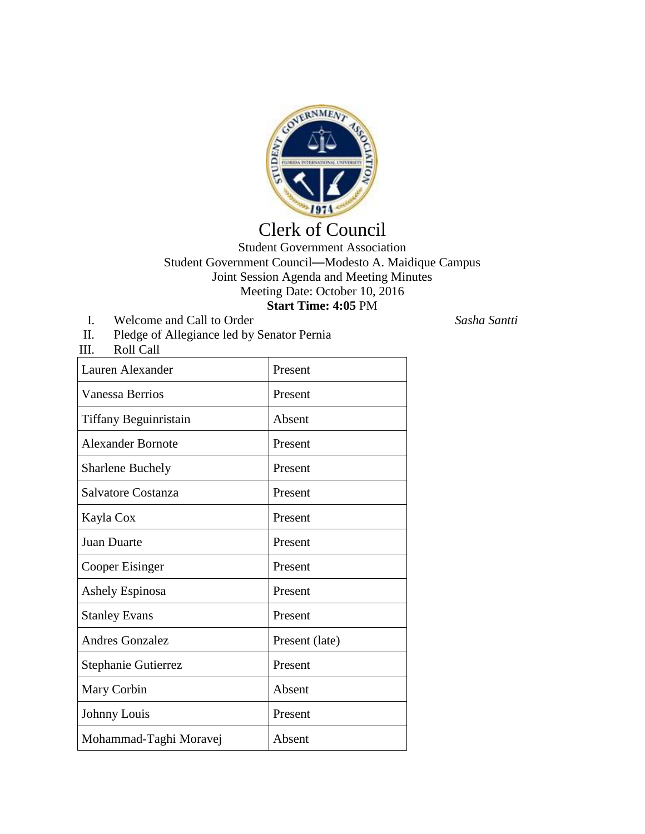

## Clerk of Council

Student Government Association Student Government Council—Modesto A. Maidique Campus Joint Session Agenda and Meeting Minutes Meeting Date: October 10, 2016 **Start Time: 4:05** PM

I. Welcome and Call to Order *Sasha Santti*

- II. Pledge of Allegiance led by Senator Pernia
- Roll Call

| Lauren Alexander         | Present        |
|--------------------------|----------------|
| Vanessa Berrios          | Present        |
| Tiffany Beguinristain    | Absent         |
| <b>Alexander Bornote</b> | Present        |
| <b>Sharlene Buchely</b>  | Present        |
| Salvatore Costanza       | Present        |
| Kayla Cox                | Present        |
| <b>Juan Duarte</b>       | Present        |
| Cooper Eisinger          | Present        |
| Ashely Espinosa          | Present        |
| <b>Stanley Evans</b>     | Present        |
| Andres Gonzalez          | Present (late) |
| Stephanie Gutierrez      | Present        |
| Mary Corbin              | Absent         |
| Johnny Louis             | Present        |
| Mohammad-Taghi Moravej   | Absent         |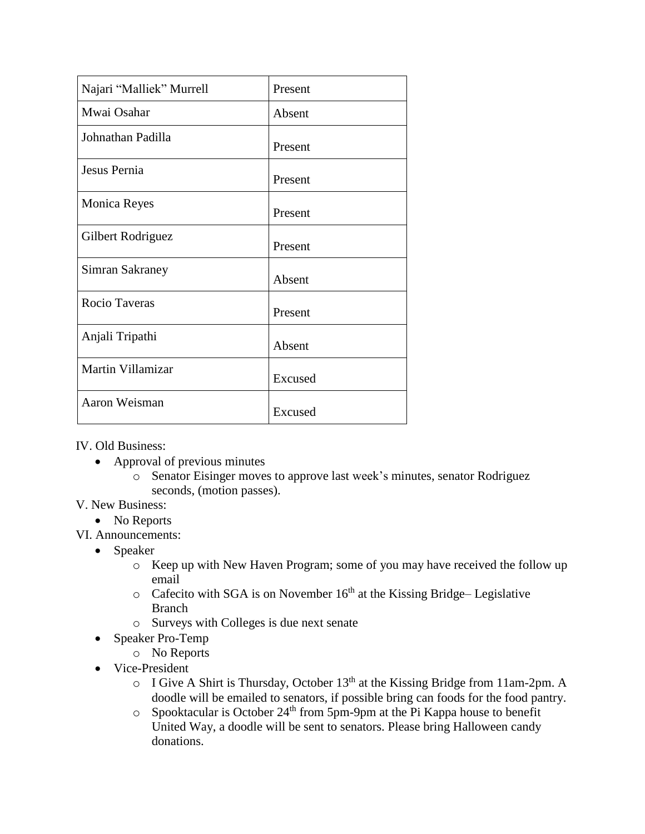| Najari "Malliek" Murrell | Present |
|--------------------------|---------|
| Mwai Osahar              | Absent  |
| Johnathan Padilla        | Present |
| Jesus Pernia             | Present |
| <b>Monica Reyes</b>      | Present |
| Gilbert Rodriguez        | Present |
| Simran Sakraney          | Absent  |
| <b>Rocio Taveras</b>     | Present |
| Anjali Tripathi          | Absent  |
| Martin Villamizar        | Excused |
| Aaron Weisman            | Excused |

IV. Old Business:

- Approval of previous minutes
	- o Senator Eisinger moves to approve last week's minutes, senator Rodriguez seconds, (motion passes).

## V. New Business:

- No Reports
- VI. Announcements:
	- Speaker
		- o Keep up with New Haven Program; some of you may have received the follow up email
		- $\circ$  Cafecito with SGA is on November 16<sup>th</sup> at the Kissing Bridge– Legislative Branch
		- o Surveys with Colleges is due next senate
	- Speaker Pro-Temp
		- o No Reports
	- Vice-President
		- $\circ$  I Give A Shirt is Thursday, October 13<sup>th</sup> at the Kissing Bridge from 11am-2pm. A doodle will be emailed to senators, if possible bring can foods for the food pantry.
		- $\circ$  Spooktacular is October 24<sup>th</sup> from 5pm-9pm at the Pi Kappa house to benefit United Way, a doodle will be sent to senators. Please bring Halloween candy donations.